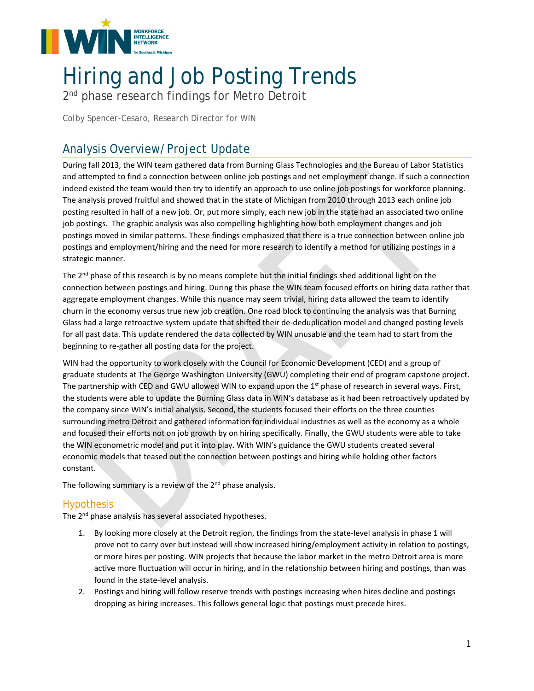

# Hiring and Job Posting Trends

2<sup>nd</sup> phase research findings for Metro Detroit

*Colby Spencer-Cesaro, Research Director for WIN*

# Analysis Overview/Project Update

During fall 2013, the WIN team gathered data from Burning Glass Technologies and the Bureau of Labor Statistics and attempted to find a connection between online job postings and net employment change. If such a connection indeed existed the team would then try to identify an approach to use online job postings for workforce planning. The analysis proved fruitful and showed that in the state of Michigan from 2010 through 2013 each online job posting resulted in half of a new job. Or, put more simply, each new job in the state had an associated two online job postings. The graphic analysis was also compelling highlighting how both employment changes and job postings moved in similar patterns. These findings emphasized that there is a true connection between online job postings and employment/hiring and the need for more research to identify a method for utilizing postings in a strategic manner.

The  $2^{nd}$  phase of this research is by no means complete but the initial findings shed additional light on the connection between postings and hiring. During this phase the WIN team focused efforts on hiring data rather that aggregate employment changes. While this nuance may seem trivial, hiring data allowed the team to identify churn in the economy versus true new job creation. One road block to continuing the analysis was that Burning Glass had a large retroactive system update that shifted their de-deduplication model and changed posting levels for all past data. This update rendered the data collected by WIN unusable and the team had to start from the beginning to re-gather all posting data for the project.

WIN had the opportunity to work closely with the Council for Economic Development (CED) and a group of graduate students at The George Washington University (GWU) completing their end of program capstone project. The partnership with CED and GWU allowed WIN to expand upon the  $1<sup>st</sup>$  phase of research in several ways. First, the students were able to update the Burning Glass data in WIN's database as it had been retroactively updated by the company since WIN's initial analysis. Second, the students focused their efforts on the three counties surrounding metro Detroit and gathered information for individual industries as well as the economy as a whole and focused their efforts not on job growth by on hiring specifically. Finally, the GWU students were able to take the WIN econometric model and put it into play. With WIN's guidance the GWU students created several economic models that teased out the connection between postings and hiring while holding other factors constant.

The following summary is a review of the  $2<sup>nd</sup>$  phase analysis.

### Hypothesis

The 2<sup>nd</sup> phase analysis has several associated hypotheses.

- 1. By looking more closely at the Detroit region, the findings from the state-level analysis in phase 1 will prove not to carry over but instead will show increased hiring/employment activity in relation to postings, or more hires per posting. WIN projects that because the labor market in the metro Detroit area is more active more fluctuation will occur in hiring, and in the relationship between hiring and postings, than was found in the state-level analysis.
- 2. Postings and hiring will follow reserve trends with postings increasing when hires decline and postings dropping as hiring increases. This follows general logic that postings must precede hires.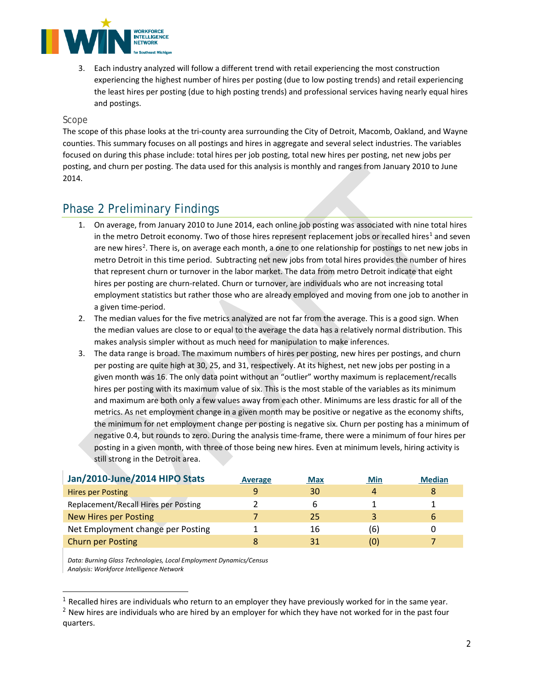

3. Each industry analyzed will follow a different trend with retail experiencing the most construction experiencing the highest number of hires per posting (due to low posting trends) and retail experiencing the least hires per posting (due to high posting trends) and professional services having nearly equal hires and postings.

#### Scope

The scope of this phase looks at the tri-county area surrounding the City of Detroit, Macomb, Oakland, and Wayne counties. This summary focuses on all postings and hires in aggregate and several select industries. The variables focused on during this phase include: total hires per job posting, total new hires per posting, net new jobs per posting, and churn per posting. The data used for this analysis is monthly and ranges from January 2010 to June 2014.

## Phase 2 Preliminary Findings

- 1. On average, from January 2010 to June 2014, each online job posting was associated with nine total hires in the metro Detroit economy. Two of those hires represent replacement jobs or recalled hires<sup>[1](#page-1-0)</sup> and seven are new hires<sup>[2](#page-1-1)</sup>. There is, on average each month, a one to one relationship for postings to net new jobs in metro Detroit in this time period. Subtracting net new jobs from total hires provides the number of hires that represent churn or turnover in the labor market. The data from metro Detroit indicate that eight hires per posting are churn-related. Churn or turnover, are individuals who are not increasing total employment statistics but rather those who are already employed and moving from one job to another in a given time-period.
- 2. The median values for the five metrics analyzed are not far from the average. This is a good sign. When the median values are close to or equal to the average the data has a relatively normal distribution. This makes analysis simpler without as much need for manipulation to make inferences.
- 3. The data range is broad. The maximum numbers of hires per posting, new hires per postings, and churn per posting are quite high at 30, 25, and 31, respectively. At its highest, net new jobs per posting in a given month was 16. The only data point without an "outlier" worthy maximum is replacement/recalls hires per posting with its maximum value of six. This is the most stable of the variables as its minimum and maximum are both only a few values away from each other. Minimums are less drastic for all of the metrics. As net employment change in a given month may be positive or negative as the economy shifts, the minimum for net employment change per posting is negative six. Churn per posting has a minimum of negative 0.4, but rounds to zero. During the analysis time-frame, there were a minimum of four hires per posting in a given month, with three of those being new hires. Even at minimum levels, hiring activity is still strong in the Detroit area.

| Jan/2010-June/2014 HIPO Stats        | Average | <b>Max</b> | Min | <b>Median</b> |
|--------------------------------------|---------|------------|-----|---------------|
| <b>Hires per Posting</b>             |         | 30         | 4   |               |
| Replacement/Recall Hires per Posting |         | b          |     |               |
| <b>New Hires per Posting</b>         |         | 25         |     | 6             |
| Net Employment change per Posting    |         | 16         | (6) |               |
| <b>Churn per Posting</b>             |         | 31         | (0) |               |

*Data: Burning Glass Technologies, Local Employment Dynamics/Census Analysis: Workforce Intelligence Network*

<span id="page-1-0"></span> $1$  Recalled hires are individuals who return to an employer they have previously worked for in the same year.

<span id="page-1-1"></span> $2$  New hires are individuals who are hired by an employer for which they have not worked for in the past four quarters.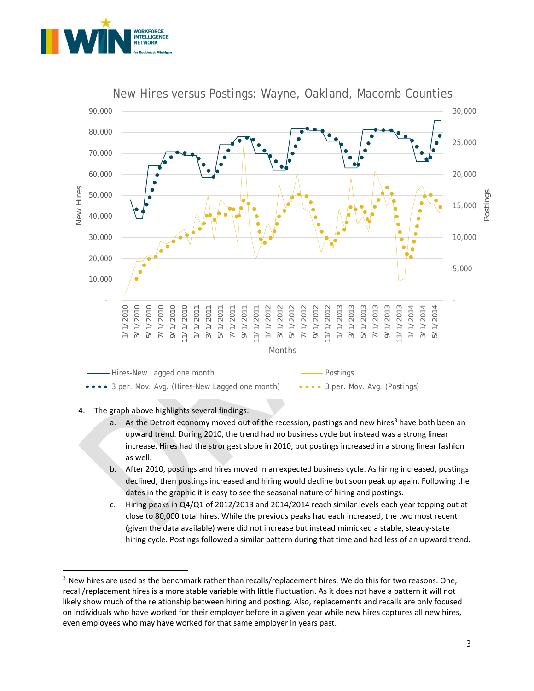



New Hires versus Postings: Wayne, Oakland, Macomb Counties

#### 4. The graph above highlights several findings:

- a. As the Detroit economy moved out of the recession, postings and new hires<sup>[3](#page-2-0)</sup> have both been an upward trend. During 2010, the trend had no business cycle but instead was a strong linear increase. Hires had the strongest slope in 2010, but postings increased in a strong linear fashion as well.
- b. After 2010, postings and hires moved in an expected business cycle. As hiring increased, postings declined, then postings increased and hiring would decline but soon peak up again. Following the dates in the graphic it is easy to see the seasonal nature of hiring and postings.
- c. Hiring peaks in Q4/Q1 of 2012/2013 and 2014/2014 reach similar levels each year topping out at close to 80,000 total hires. While the previous peaks had each increased, the two most recent (given the data available) were did not increase but instead mimicked a stable, steady-state hiring cycle. Postings followed a similar pattern during that time and had less of an upward trend.

<span id="page-2-0"></span><sup>&</sup>lt;sup>3</sup> New hires are used as the benchmark rather than recalls/replacement hires. We do this for two reasons. One, recall/replacement hires is a more stable variable with little fluctuation. As it does not have a pattern it will not likely show much of the relationship between hiring and posting. Also, replacements and recalls are only focused on individuals who have worked for their employer before in a given year while new hires captures all new hires, even employees who may have worked for that same employer in years past.